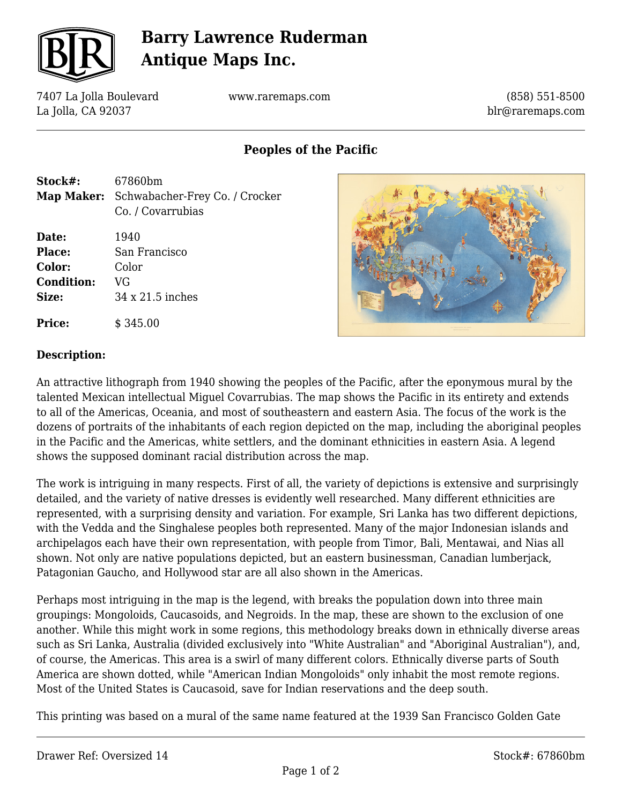

# **Barry Lawrence Ruderman Antique Maps Inc.**

7407 La Jolla Boulevard La Jolla, CA 92037

www.raremaps.com

(858) 551-8500 blr@raremaps.com

**Peoples of the Pacific**

| Stock#:<br>Map Maker:                                   | 67860bm<br>Schwabacher-Frey Co. / Crocker<br>Co. / Covarrubias |
|---------------------------------------------------------|----------------------------------------------------------------|
| Date:<br>Place:<br>Color:<br><b>Condition:</b><br>Size: | 1940<br>San Francisco<br>Color<br>VG<br>34 x 21.5 inches       |
| <b>Price:</b>                                           | \$345.00                                                       |



#### **Description:**

An attractive lithograph from 1940 showing the peoples of the Pacific, after the eponymous mural by the talented Mexican intellectual Miguel Covarrubias. The map shows the Pacific in its entirety and extends to all of the Americas, Oceania, and most of southeastern and eastern Asia. The focus of the work is the dozens of portraits of the inhabitants of each region depicted on the map, including the aboriginal peoples in the Pacific and the Americas, white settlers, and the dominant ethnicities in eastern Asia. A legend shows the supposed dominant racial distribution across the map.

The work is intriguing in many respects. First of all, the variety of depictions is extensive and surprisingly detailed, and the variety of native dresses is evidently well researched. Many different ethnicities are represented, with a surprising density and variation. For example, Sri Lanka has two different depictions, with the Vedda and the Singhalese peoples both represented. Many of the major Indonesian islands and archipelagos each have their own representation, with people from Timor, Bali, Mentawai, and Nias all shown. Not only are native populations depicted, but an eastern businessman, Canadian lumberjack, Patagonian Gaucho, and Hollywood star are all also shown in the Americas.

Perhaps most intriguing in the map is the legend, with breaks the population down into three main groupings: Mongoloids, Caucasoids, and Negroids. In the map, these are shown to the exclusion of one another. While this might work in some regions, this methodology breaks down in ethnically diverse areas such as Sri Lanka, Australia (divided exclusively into "White Australian" and "Aboriginal Australian"), and, of course, the Americas. This area is a swirl of many different colors. Ethnically diverse parts of South America are shown dotted, while "American Indian Mongoloids" only inhabit the most remote regions. Most of the United States is Caucasoid, save for Indian reservations and the deep south.

This printing was based on a mural of the same name featured at the 1939 San Francisco Golden Gate